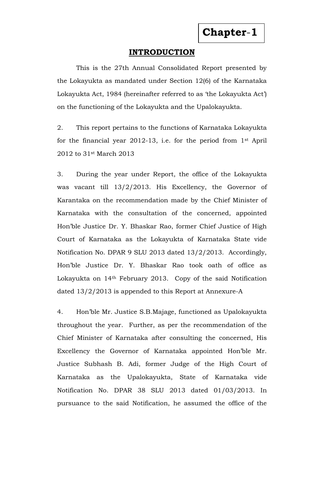## **INTRODUCTION**

This is the 27th Annual Consolidated Report presented by the Lokayukta as mandated under Section 12(6) of the Karnataka Lokayukta Act, 1984 (hereinafter referred to as 'the Lokayukta Act') on the functioning of the Lokayukta and the Upalokayukta.

2. This report pertains to the functions of Karnataka Lokayukta for the financial year 2012-13, i.e. for the period from 1st April 2012 to 31st March 2013

3. During the year under Report, the office of the Lokayukta was vacant till 13/2/2013. His Excellency, the Governor of Karantaka on the recommendation made by the Chief Minister of Karnataka with the consultation of the concerned, appointed Hon'ble Justice Dr. Y. Bhaskar Rao, former Chief Justice of High Court of Karnataka as the Lokayukta of Karnataka State vide Notification No. DPAR 9 SLU 2013 dated 13/2/2013. Accordingly, Hon'ble Justice Dr. Y. Bhaskar Rao took oath of office as Lokayukta on 14th February 2013. Copy of the said Notification dated 13/2/2013 is appended to this Report at Annexure-A

4. Hon'ble Mr. Justice S.B.Majage, functioned as Upalokayukta throughout the year. Further, as per the recommendation of the Chief Minister of Karnataka after consulting the concerned, His Excellency the Governor of Karnataka appointed Hon'ble Mr. Justice Subhash B. Adi, former Judge of the High Court of Karnataka as the Upalokayukta, State of Karnataka vide Notification No. DPAR 38 SLU 2013 dated 01/03/2013. In pursuance to the said Notification, he assumed the office of the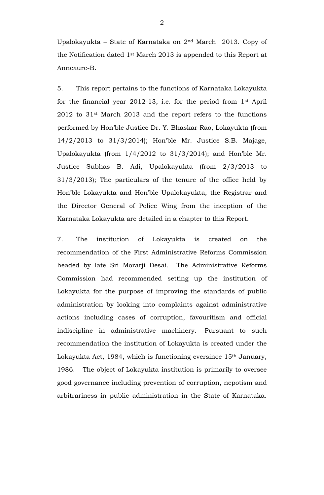Upalokayukta – State of Karnataka on 2nd March 2013. Copy of the Notification dated 1st March 2013 is appended to this Report at Annexure-B.

5. This report pertains to the functions of Karnataka Lokayukta for the financial year 2012-13, i.e. for the period from 1st April 2012 to 31st March 2013 and the report refers to the functions performed by Hon'ble Justice Dr. Y. Bhaskar Rao, Lokayukta (from 14/2/2013 to 31/3/2014); Hon'ble Mr. Justice S.B. Majage, Upalokayukta (from 1/4/2012 to 31/3/2014); and Hon'ble Mr. Justice Subhas B. Adi, Upalokayukta (from 2/3/2013 to 31/3/2013); The particulars of the tenure of the office held by Hon'ble Lokayukta and Hon'ble Upalokayukta, the Registrar and the Director General of Police Wing from the inception of the Karnataka Lokayukta are detailed in a chapter to this Report.

7. The institution of Lokayukta is created on the recommendation of the First Administrative Reforms Commission headed by late Sri Morarji Desai. The Administrative Reforms Commission had recommended setting up the institution of Lokayukta for the purpose of improving the standards of public administration by looking into complaints against administrative actions including cases of corruption, favouritism and official indiscipline in administrative machinery. Pursuant to such recommendation the institution of Lokayukta is created under the Lokayukta Act, 1984, which is functioning eversince 15<sup>th</sup> January, 1986. The object of Lokayukta institution is primarily to oversee good governance including prevention of corruption, nepotism and arbitrariness in public administration in the State of Karnataka.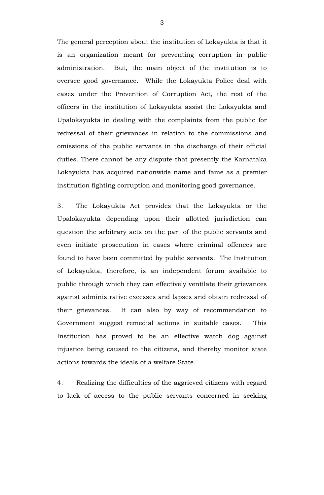The general perception about the institution of Lokayukta is that it is an organization meant for preventing corruption in public administration. But, the main object of the institution is to oversee good governance. While the Lokayukta Police deal with cases under the Prevention of Corruption Act, the rest of the officers in the institution of Lokayukta assist the Lokayukta and Upalokayukta in dealing with the complaints from the public for redressal of their grievances in relation to the commissions and omissions of the public servants in the discharge of their official duties. There cannot be any dispute that presently the Karnataka Lokayukta has acquired nationwide name and fame as a premier institution fighting corruption and monitoring good governance.

3. The Lokayukta Act provides that the Lokayukta or the Upalokayukta depending upon their allotted jurisdiction can question the arbitrary acts on the part of the public servants and even initiate prosecution in cases where criminal offences are found to have been committed by public servants. The Institution of Lokayukta, therefore, is an independent forum available to public through which they can effectively ventilate their grievances against administrative excesses and lapses and obtain redressal of their grievances. It can also by way of recommendation to Government suggest remedial actions in suitable cases. This Institution has proved to be an effective watch dog against injustice being caused to the citizens, and thereby monitor state actions towards the ideals of a welfare State.

4. Realizing the difficulties of the aggrieved citizens with regard to lack of access to the public servants concerned in seeking

3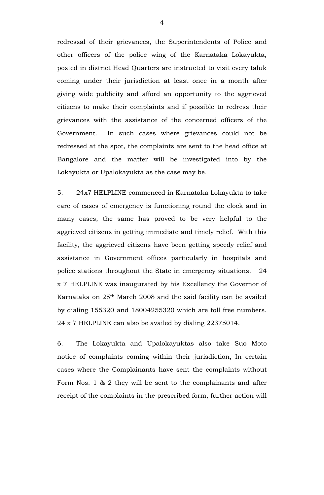redressal of their grievances, the Superintendents of Police and other officers of the police wing of the Karnataka Lokayukta, posted in district Head Quarters are instructed to visit every taluk coming under their jurisdiction at least once in a month after giving wide publicity and afford an opportunity to the aggrieved citizens to make their complaints and if possible to redress their grievances with the assistance of the concerned officers of the Government. In such cases where grievances could not be redressed at the spot, the complaints are sent to the head office at Bangalore and the matter will be investigated into by the Lokayukta or Upalokayukta as the case may be.

5. 24x7 HELPLINE commenced in Karnataka Lokayukta to take care of cases of emergency is functioning round the clock and in many cases, the same has proved to be very helpful to the aggrieved citizens in getting immediate and timely relief. With this facility, the aggrieved citizens have been getting speedy relief and assistance in Government offices particularly in hospitals and police stations throughout the State in emergency situations. 24 x 7 HELPLINE was inaugurated by his Excellency the Governor of Karnataka on 25th March 2008 and the said facility can be availed by dialing 155320 and 18004255320 which are toll free numbers. 24 x 7 HELPLINE can also be availed by dialing 22375014.

6. The Lokayukta and Upalokayuktas also take Suo Moto notice of complaints coming within their jurisdiction, In certain cases where the Complainants have sent the complaints without Form Nos. 1 & 2 they will be sent to the complainants and after receipt of the complaints in the prescribed form, further action will

4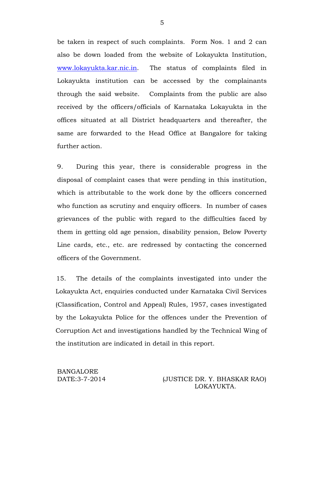be taken in respect of such complaints. Form Nos. 1 and 2 can also be down loaded from the website of Lokayukta Institution, [www.lokayukta.kar.nic.in.](http://www.lokayukta.kar.nic.in/) The status of complaints filed in Lokayukta institution can be accessed by the complainants through the said website. Complaints from the public are also received by the officers/officials of Karnataka Lokayukta in the offices situated at all District headquarters and thereafter, the same are forwarded to the Head Office at Bangalore for taking further action.

9. During this year, there is considerable progress in the disposal of complaint cases that were pending in this institution, which is attributable to the work done by the officers concerned who function as scrutiny and enquiry officers. In number of cases grievances of the public with regard to the difficulties faced by them in getting old age pension, disability pension, Below Poverty Line cards, etc., etc. are redressed by contacting the concerned officers of the Government.

15. The details of the complaints investigated into under the Lokayukta Act, enquiries conducted under Karnataka Civil Services (Classification, Control and Appeal) Rules, 1957, cases investigated by the Lokayukta Police for the offences under the Prevention of Corruption Act and investigations handled by the Technical Wing of the institution are indicated in detail in this report.

BANGALORE

DATE:3-7-2014 (JUSTICE DR. Y. BHASKAR RAO) LOKAYUKTA.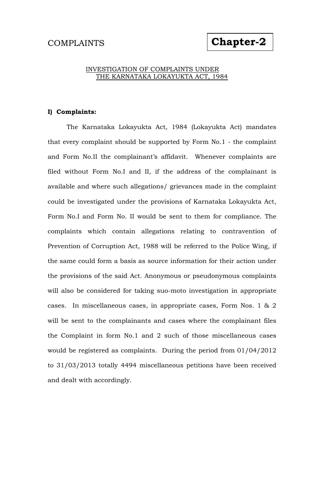# **Chapter-2**

#### INVESTIGATION OF COMPLAINTS UNDER THE KARNATAKA LOKAYUKTA ACT, 1984

#### **I) Complaints:**

The Karnataka Lokayukta Act, 1984 (Lokayukta Act) mandates that every complaint should be supported by Form No.1 - the complaint and Form No.II the complainant's affidavit. Whenever complaints are filed without Form No.I and II, if the address of the complainant is available and where such allegations/ grievances made in the complaint could be investigated under the provisions of Karnataka Lokayukta Act, Form No.I and Form No. II would be sent to them for compliance. The complaints which contain allegations relating to contravention of Prevention of Corruption Act, 1988 will be referred to the Police Wing, if the same could form a basis as source information for their action under the provisions of the said Act. Anonymous or pseudonymous complaints will also be considered for taking suo-moto investigation in appropriate cases. In miscellaneous cases, in appropriate cases, Form Nos. 1 & 2 will be sent to the complainants and cases where the complainant files the Complaint in form No.1 and 2 such of those miscellaneous cases would be registered as complaints. During the period from 01/04/2012 to 31/03/2013 totally 4494 miscellaneous petitions have been received and dealt with accordingly.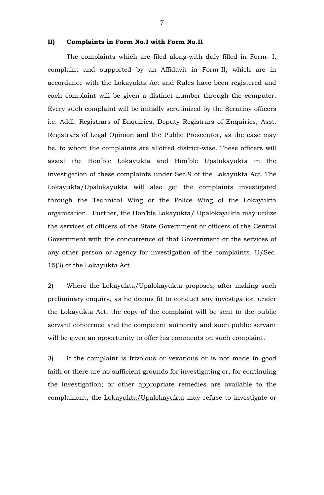#### **II) Complaints in Form No.I with Form No.II**

The complaints which are filed along-with duly filled in Form- I, complaint and supported by an Affidavit in Form-II, which are in accordance with the Lokayukta Act and Rules have been registered and each complaint will be given a distinct number through the computer. Every such complaint will be initially scrutinized by the Scrutiny officers i.e. Addl. Registrars of Enquiries, Deputy Registrars of Enquiries, Asst. Registrars of Legal Opinion and the Public Prosecutor, as the case may be, to whom the complaints are allotted district-wise. These officers will assist the Hon'ble Lokayukta and Hon'ble Upalokayukta in the investigation of these complaints under Sec.9 of the Lokayukta Act. The Lokayukta/Upalokayukta will also get the complaints investigated through the Technical Wing or the Police Wing of the Lokayukta organization. Further, the Hon'ble Lokayukta/ Upalokayukta may utilize the services of officers of the State Government or officers of the Central Government with the concurrence of that Government or the services of any other person or agency for investigation of the complaints, U/Sec. 15(3) of the Lokayukta Act.

2) Where the Lokayukta/Upalokayukta proposes, after making such preliminary enquiry, as he deems fit to conduct any investigation under the Lokayukta Act, the copy of the complaint will be sent to the public servant concerned and the competent authority and such public servant will be given an opportunity to offer his comments on such complaint.

3) If the complaint is frivolous or vexatious or is not made in good faith or there are no sufficient grounds for investigating or, for continuing the investigation; or other appropriate remedies are available to the complainant, the Lokayukta/Upalokayukta may refuse to investigate or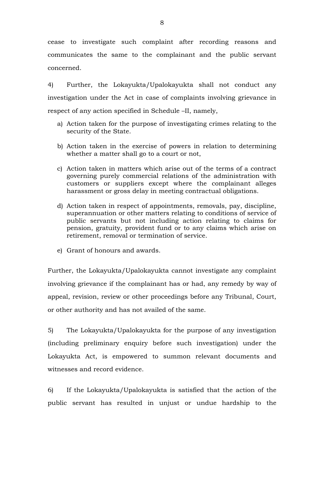cease to investigate such complaint after recording reasons and communicates the same to the complainant and the public servant concerned.

4) Further, the Lokayukta/Upalokayukta shall not conduct any investigation under the Act in case of complaints involving grievance in respect of any action specified in Schedule –II, namely,

- a) Action taken for the purpose of investigating crimes relating to the security of the State.
- b) Action taken in the exercise of powers in relation to determining whether a matter shall go to a court or not,
- c) Action taken in matters which arise out of the terms of a contract governing purely commercial relations of the administration with customers or suppliers except where the complainant alleges harassment or gross delay in meeting contractual obligations.
- d) Action taken in respect of appointments, removals, pay, discipline, superannuation or other matters relating to conditions of service of public servants but not including action relating to claims for pension, gratuity, provident fund or to any claims which arise on retirement, removal or termination of service.
- e) Grant of honours and awards.

Further, the Lokayukta/Upalokayukta cannot investigate any complaint involving grievance if the complainant has or had, any remedy by way of appeal, revision, review or other proceedings before any Tribunal, Court, or other authority and has not availed of the same.

5) The Lokayukta/Upalokayukta for the purpose of any investigation (including preliminary enquiry before such investigation) under the Lokayukta Act, is empowered to summon relevant documents and witnesses and record evidence.

6) If the Lokayukta/Upalokayukta is satisfied that the action of the public servant has resulted in unjust or undue hardship to the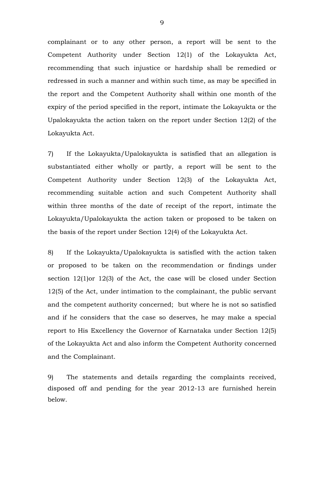complainant or to any other person, a report will be sent to the Competent Authority under Section 12(1) of the Lokayukta Act, recommending that such injustice or hardship shall be remedied or redressed in such a manner and within such time, as may be specified in the report and the Competent Authority shall within one month of the expiry of the period specified in the report, intimate the Lokayukta or the Upalokayukta the action taken on the report under Section 12(2) of the Lokayukta Act.

7) If the Lokayukta/Upalokayukta is satisfied that an allegation is substantiated either wholly or partly, a report will be sent to the Competent Authority under Section 12(3) of the Lokayukta Act, recommending suitable action and such Competent Authority shall within three months of the date of receipt of the report, intimate the Lokayukta/Upalokayukta the action taken or proposed to be taken on the basis of the report under Section 12(4) of the Lokayukta Act.

8) If the Lokayukta/Upalokayukta is satisfied with the action taken or proposed to be taken on the recommendation or findings under section 12(1)or 12(3) of the Act, the case will be closed under Section 12(5) of the Act, under intimation to the complainant, the public servant and the competent authority concerned; but where he is not so satisfied and if he considers that the case so deserves, he may make a special report to His Excellency the Governor of Karnataka under Section 12(5) of the Lokayukta Act and also inform the Competent Authority concerned and the Complainant.

9) The statements and details regarding the complaints received, disposed off and pending for the year 2012-13 are furnished herein below.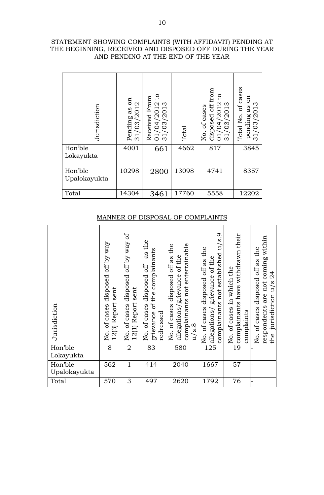| STATEMENT SHOWING COMPLAINTS (WITH AFFIDAVIT) PENDING AT |
|----------------------------------------------------------|
| THE BEGINNING, RECEIVED AND DISPOSED OFF DURING THE YEAR |
| AND PENDING AT THE END OF THE YEAR                       |

| Jurisdiction            | co<br>/2012<br>as<br>Pending<br>/03<br>$\overline{\phantom{0}}$<br>$\infty$ | S+<br>Received From<br>/04/2012<br>/03/2013<br>$\overline{0}\,\overline{1}$ | Total | disposed off from<br>$\mathsf{c}$<br>/04/2012<br>/03/2013<br>of cases<br>Йo.<br>$\overline{O}$<br>$\infty$ | of cases<br>EO<br>pending as o<br>31/03/2013<br>Total No. |
|-------------------------|-----------------------------------------------------------------------------|-----------------------------------------------------------------------------|-------|------------------------------------------------------------------------------------------------------------|-----------------------------------------------------------|
| Hon'ble<br>Lokayukta    | 4001                                                                        | 661                                                                         | 4662  | 817                                                                                                        | 3845                                                      |
| Hon'ble<br>Upalokayukta | 10298                                                                       | 2800                                                                        | 13098 | 4741                                                                                                       | 8357                                                      |
| Total                   | 14304                                                                       | 3461                                                                        | 17760 | 5558                                                                                                       | 12202                                                     |

# MANNER OF DISPOSAL OF COMPLAINTS

|                                                  | Jurisdiction            |                           | Pending as on<br>$\mathbf{\Omega}$<br>31/03/201                            | 01/04/2012 tc<br>31/03/2013<br>Received From                                                 |                              | Total                                                                                                                 | disposed off fro<br>01/04/2012 tc<br>31/03/2013<br>No. of cases                                                 |                              | Total No. of cas                                | pending as on<br>31/03/2013                    |                                                                     |
|--------------------------------------------------|-------------------------|---------------------------|----------------------------------------------------------------------------|----------------------------------------------------------------------------------------------|------------------------------|-----------------------------------------------------------------------------------------------------------------------|-----------------------------------------------------------------------------------------------------------------|------------------------------|-------------------------------------------------|------------------------------------------------|---------------------------------------------------------------------|
|                                                  | Hon'ble<br>Lokayukta    |                           | 4001                                                                       | 661                                                                                          |                              | 4662                                                                                                                  | $\overline{817}$                                                                                                |                              |                                                 | 3845                                           |                                                                     |
|                                                  | Hon'ble<br>Upalokayukta |                           | 10298                                                                      | 2800                                                                                         |                              | 13098                                                                                                                 | 4741                                                                                                            |                              |                                                 | 8357                                           |                                                                     |
|                                                  | Total                   |                           | 14304                                                                      | 3461                                                                                         |                              | 17760                                                                                                                 | 5558                                                                                                            |                              | 12202                                           |                                                |                                                                     |
|                                                  |                         | <b>MANNER OF</b>          |                                                                            | DISPOSAL OF                                                                                  |                              |                                                                                                                       | <b>COMPLAINTS</b>                                                                                               |                              |                                                 |                                                |                                                                     |
| of cases disposed off by way.<br>risdiction<br>Ę |                         | sent<br>(3) Report<br>2 J | of cases disposed off by way of<br>No. of cases dispo<br>12(1) Report sent | as the<br>ievance of the complainants<br>of cases disposed off<br>dressed<br>$2 \frac{1}{2}$ | of cases disposed off as the | mplainants not entertainable<br>egations/grievance of the<br>$\overline{\text{s}}.\overline{\text{8}}$<br>2 ਚੋਂ 8 ਖ਼ੁ | complainants not established u/s.9<br>of cases disposed off as the<br>gations/ grievance of the<br>No.<br>allej | of cases in which the<br>Σó. | complainants have withdrawn their<br>complaints | of cases disposed off as the<br>$\overline{S}$ | pondents are not coming within<br>jurisdiction u/s 24<br>res<br>the |
|                                                  | Hon'ble<br>Lokayukta    | 8                         | $\overline{2}$                                                             | 83                                                                                           |                              | 580                                                                                                                   | 125                                                                                                             |                              | 19                                              |                                                |                                                                     |
| Hon'ble                                          | Upalokayukta            | 562                       | $\mathbf{1}$                                                               | 414                                                                                          |                              | 2040                                                                                                                  | 1667                                                                                                            |                              | 57                                              | $\overline{\phantom{0}}$                       |                                                                     |
| Total                                            |                         | 570                       | 3                                                                          | 497                                                                                          |                              | 2620                                                                                                                  | 1792                                                                                                            |                              | 76                                              |                                                |                                                                     |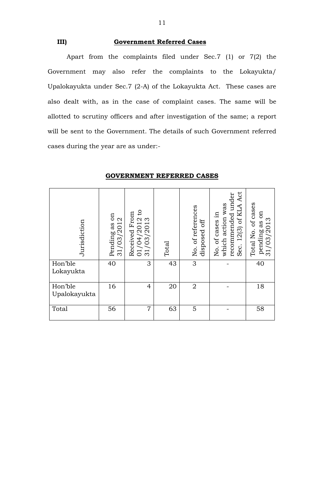#### **III) Government Referred Cases**

Apart from the complaints filed under Sec.7 (1) or 7(2) the Government may also refer the complaints to the Lokayukta/ Upalokayukta under Sec.7 (2-A) of the Lokayukta Act. These cases are also dealt with, as in the case of complaint cases. The same will be allotted to scrutiny officers and after investigation of the same; a report will be sent to the Government. The details of such Government referred cases during the year are as under:-

| Jurisdiction            | 50<br>31/03/2012<br>Pending as | $\overline{c}$<br>From<br>$01/04/2012$<br>31/03/2013<br>Received | Total | No. of references<br>off<br>disposed | Act<br>recommended under<br>which action was<br>of KLA<br>of cases in<br>12(3)<br>Sec.<br>Χo. | cases<br>$\sin$<br>pending as o<br>31/03/2013<br>$\sigma$<br>Total No. |
|-------------------------|--------------------------------|------------------------------------------------------------------|-------|--------------------------------------|-----------------------------------------------------------------------------------------------|------------------------------------------------------------------------|
| Hon'ble<br>Lokayukta    | 40                             | 3                                                                | 43    | 3                                    |                                                                                               | 40                                                                     |
| Hon'ble<br>Upalokayukta | 16                             | $\overline{4}$                                                   | 20    | $\overline{2}$                       |                                                                                               | 18                                                                     |
| Total                   | 56                             | $\overline{7}$                                                   | 63    | 5                                    |                                                                                               | 58                                                                     |

#### **GOVERNMENT REFERRED CASES**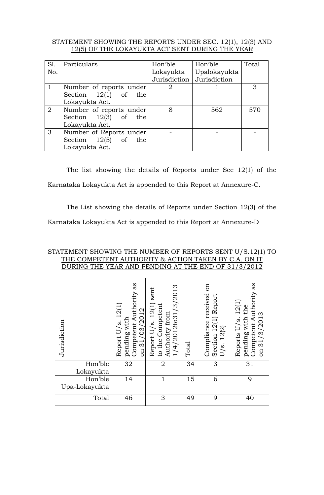### STATEMENT SHOWING THE REPORTS UNDER SEC. 12(1), 12(3) AND 12(5) OF THE LOKAYUKTA ACT SENT DURING THE YEAR

| Sl. | Particulars             | Hon'ble      | Hon'ble      | Total |
|-----|-------------------------|--------------|--------------|-------|
| No. |                         | Lokayukta    | Upalokayukta |       |
|     |                         | Jurisdiction | Jurisdiction |       |
|     | Number of reports under | 2            |              | 3     |
|     | Section $12(1)$ of the  |              |              |       |
|     | Lokayukta Act.          |              |              |       |
| 2   | Number of reports under | 8            | 562          | 570   |
|     | Section $12(3)$ of the  |              |              |       |
|     | Lokayukta Act.          |              |              |       |
| 3   | Number of Reports under |              |              |       |
|     | Section $12(5)$ of the  |              |              |       |
|     | Lokayukta Act.          |              |              |       |

The list showing the details of Reports under Sec 12(1) of the Karnataka Lokayukta Act is appended to this Report at Annexure-C.

The List showing the details of Reports under Section 12(3) of the

Karnataka Lokayukta Act is appended to this Report at Annexure-D

#### STATEMENT SHOWING THE NUMBER OF REPORTS SENT U/S.12(1) TO THE COMPETENT AUTHORITY & ACTION TAKEN BY C.A. ON IT DURING THE YEAR AND PENDING AT THE END OF 31/3/2012

| Jurisdiction             | as<br>Competent Authority<br>Report U/s. 12(1)<br>on 31/03/2012<br>pending with | 1/4/2012to31/3/2013<br>sent<br>Report U/s. 12(1)<br>to the Competent<br>Authority from | Total | EO<br>Compliance received<br>Section 12(1) Report<br>U/s. 12(2) | as<br>Competent Authority<br>Reports U/s. 12(1)<br>pending with the<br>on 31/3/2013 |
|--------------------------|---------------------------------------------------------------------------------|----------------------------------------------------------------------------------------|-------|-----------------------------------------------------------------|-------------------------------------------------------------------------------------|
| Hon'ble<br>Lokayukta     | 32                                                                              | $\overline{2}$                                                                         | 34    | 3                                                               | 31                                                                                  |
| Hon'ble<br>Upa-Lokayukta | 14                                                                              | $\mathbf{1}$                                                                           | 15    | 6                                                               | 9                                                                                   |
| Total                    | 46                                                                              | 3                                                                                      | 49    | 9                                                               | 40                                                                                  |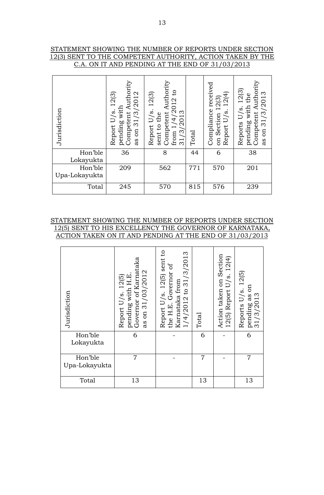#### STATEMENT SHOWING THE NUMBER OF REPORTS UNDER SECTION 12(3) SENT TO THE COMPETENT AUTHORITY, ACTION TAKEN BY THE C.A. ON IT AND PENDING AT THE END OF 31/03/2013

| Jurisdiction             | pending with<br>Competent Authority<br>12(3)<br>/2012<br>Report U/s.<br>31/3/<br>$\mathfrak{g}$<br>as | Competent Authority<br>$\mathbf{c}$<br>12(3)<br>$\frac{14}{2013}$<br>Report U/s.<br>sent to the<br>/201<br>from 1<br>$\widetilde{\omega}$<br>$\overline{31}$ | Total | Compliance received<br>12(4)<br>on Section 12(3)<br>Report U/s. | pending with the<br>Competent Authorit<br>Reports U/s. 12(3)<br>31/3/2013<br>as on |
|--------------------------|-------------------------------------------------------------------------------------------------------|--------------------------------------------------------------------------------------------------------------------------------------------------------------|-------|-----------------------------------------------------------------|------------------------------------------------------------------------------------|
| Hon'ble<br>Lokayukta     | 36                                                                                                    | 8                                                                                                                                                            | 44    | 6                                                               | 38                                                                                 |
| Hon'ble<br>Upa-Lokayukta | 209                                                                                                   | 562                                                                                                                                                          | 771   | 570                                                             | 201                                                                                |
| Total                    | 245                                                                                                   | 570                                                                                                                                                          | 815   | 576                                                             | 239                                                                                |

#### STATEMENT SHOWING THE NUMBER OF REPORTS UNDER SECTION 12(5) SENT TO HIS EXCELLENCY THE GOVERNOR OF KARNATAKA, ACTION TAKEN ON IT AND PENDING AT THE END OF 31/03/2013

| Jurisdiction             | pending with H.E.<br>Governor of Karnataka<br>as on 31/03/2012<br>Report U/s. 12(5) | Report U/s. 12(5) sent to<br>1/4/2012 to 31/3/2013<br>the H.E. Governor of<br>Karnataka from | Total | Action taken on Section<br>12(5) Report U/s. 12(4) | Reports $U/s$ . $12(5)$<br>pending as on<br>31/3/2013 |
|--------------------------|-------------------------------------------------------------------------------------|----------------------------------------------------------------------------------------------|-------|----------------------------------------------------|-------------------------------------------------------|
| Hon'ble<br>Lokayukta     | 6                                                                                   |                                                                                              | 6     |                                                    | 6                                                     |
| Hon'ble<br>Upa-Lokayukta | 7                                                                                   |                                                                                              | 7     |                                                    | $\overline{7}$                                        |
| Total                    | 13                                                                                  |                                                                                              | 13    |                                                    | 13                                                    |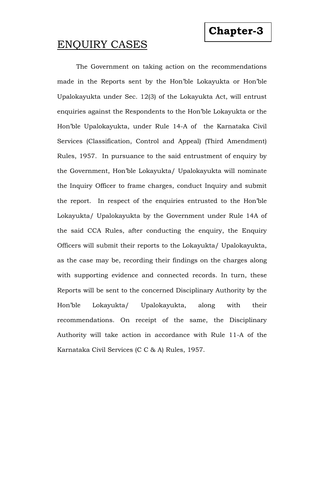# ENQUIRY CASES

The Government on taking action on the recommendations made in the Reports sent by the Hon'ble Lokayukta or Hon'ble Upalokayukta under Sec. 12(3) of the Lokayukta Act, will entrust enquiries against the Respondents to the Hon'ble Lokayukta or the Hon'ble Upalokayukta, under Rule 14-A of the Karnataka Civil Services (Classification, Control and Appeal) (Third Amendment) Rules, 1957. In pursuance to the said entrustment of enquiry by the Government, Hon'ble Lokayukta/ Upalokayukta will nominate the Inquiry Officer to frame charges, conduct Inquiry and submit the report. In respect of the enquiries entrusted to the Hon'ble Lokayukta/ Upalokayukta by the Government under Rule 14A of the said CCA Rules, after conducting the enquiry, the Enquiry Officers will submit their reports to the Lokayukta/ Upalokayukta, as the case may be, recording their findings on the charges along with supporting evidence and connected records. In turn, these Reports will be sent to the concerned Disciplinary Authority by the Hon'ble Lokayukta/ Upalokayukta, along with their recommendations. On receipt of the same, the Disciplinary Authority will take action in accordance with Rule 11-A of the Karnataka Civil Services (C C & A) Rules, 1957.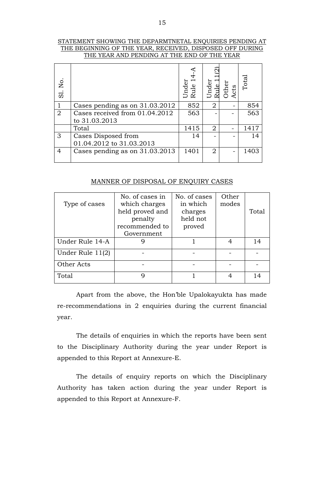#### STATEMENT SHOWING THE DEPARMTNETAL ENQUIRIES PENDING AT THE BEGINNING OF THE YEAR, RECEIVED, DISPOSED OFF DURING THE YEAR AND PENDING AT THE END OF THE YEAR

| Σó.<br>$\overline{5}$ |                                                 | Under<br>Rule | Under<br>Rule 1<br>Other | Acts | Total |
|-----------------------|-------------------------------------------------|---------------|--------------------------|------|-------|
| $\mathbf{1}$          | Cases pending as on 31.03.2012                  | 852           | 2                        |      | 854   |
| $\overline{2}$        | Cases received from 01.04.2012<br>to 31.03.2013 | 563           |                          |      | 563   |
|                       | Total                                           | 1415          | $\overline{2}$           |      | 1417  |
| 3                     | Cases Disposed from<br>01.04.2012 to 31.03.2013 | 14            |                          |      | 14    |
| $\overline{4}$        | Cases pending as on 31.03.2013                  | 1401          | 2                        |      | 1403  |

#### MANNER OF DISPOSAL OF ENQUIRY CASES

| SI. No.                                                                                                                                                                 |                     | Under<br>Rule 1                                                                                                                                                  | Under<br>Rule 1 | Other<br>Acts            | Tota           |       |  |  |
|-------------------------------------------------------------------------------------------------------------------------------------------------------------------------|---------------------|------------------------------------------------------------------------------------------------------------------------------------------------------------------|-----------------|--------------------------|----------------|-------|--|--|
| $\mathbf{1}$                                                                                                                                                            |                     | Cases pending as on 31.03.2012                                                                                                                                   | 852             | $\overline{2}$           |                | 854   |  |  |
| $\overline{2}$                                                                                                                                                          |                     | Cases received from 01.04.2012                                                                                                                                   | 563             |                          |                | 563   |  |  |
|                                                                                                                                                                         | to 31.03.2013       |                                                                                                                                                                  |                 |                          |                |       |  |  |
|                                                                                                                                                                         | Total               | 1415                                                                                                                                                             | $\overline{2}$  | $\overline{\phantom{0}}$ | 1417           |       |  |  |
| 3                                                                                                                                                                       | Cases Disposed from |                                                                                                                                                                  | 14              |                          |                | 14    |  |  |
|                                                                                                                                                                         |                     | 01.04.2012 to 31.03.2013                                                                                                                                         |                 |                          |                |       |  |  |
| $\overline{4}$                                                                                                                                                          |                     | Cases pending as on 31.03.2013                                                                                                                                   | 1401            | $\overline{2}$           |                | 1403  |  |  |
|                                                                                                                                                                         |                     | MANNER OF DISPOSAL OF ENQUIRY CASES                                                                                                                              |                 |                          |                |       |  |  |
|                                                                                                                                                                         |                     | No. of cases in                                                                                                                                                  | No. of cases    |                          | Other          |       |  |  |
|                                                                                                                                                                         | Type of cases       | which charges                                                                                                                                                    | in which        |                          | modes          |       |  |  |
|                                                                                                                                                                         |                     | held proved and                                                                                                                                                  | charges         |                          |                | Total |  |  |
|                                                                                                                                                                         |                     | penalty<br>recommended to                                                                                                                                        | held not        |                          |                |       |  |  |
|                                                                                                                                                                         |                     | Government                                                                                                                                                       | proved          |                          |                |       |  |  |
|                                                                                                                                                                         | Under Rule 14-A     | 9                                                                                                                                                                | $\mathbf 1$     |                          | $\overline{4}$ | 14    |  |  |
|                                                                                                                                                                         | Under Rule $11(2)$  |                                                                                                                                                                  |                 |                          |                |       |  |  |
|                                                                                                                                                                         |                     |                                                                                                                                                                  |                 |                          |                |       |  |  |
|                                                                                                                                                                         | Other Acts          |                                                                                                                                                                  |                 |                          |                |       |  |  |
| Total                                                                                                                                                                   |                     | 9                                                                                                                                                                | $\mathbf{1}$    |                          | 4              | 14    |  |  |
| Apart from the above, the Hon'ble Upalokayukta has made<br>re-recommendations in 2 enquiries during the current financial<br>year.                                      |                     |                                                                                                                                                                  |                 |                          |                |       |  |  |
| The details of enquiries in which the reports have been sent<br>to the Disciplinary Authority during the year under Report is<br>appended to this Report at Annexure-E. |                     |                                                                                                                                                                  |                 |                          |                |       |  |  |
|                                                                                                                                                                         |                     | The details of enquiry reports on which the Disciplinary<br>Authority has taken action during the year under Report is<br>appended to this Report at Annexure-F. |                 |                          |                |       |  |  |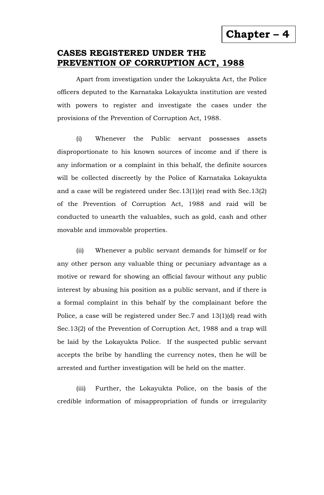**Chapter – 4** 

## **CASES REGISTERED UNDER THE PREVENTION OF CORRUPTION ACT, 1988**

Apart from investigation under the Lokayukta Act, the Police officers deputed to the Karnataka Lokayukta institution are vested with powers to register and investigate the cases under the provisions of the Prevention of Corruption Act, 1988.

(i) Whenever the Public servant possesses assets disproportionate to his known sources of income and if there is any information or a complaint in this behalf, the definite sources will be collected discreetly by the Police of Karnataka Lokayukta and a case will be registered under Sec.13(1)(e) read with Sec.13(2) of the Prevention of Corruption Act, 1988 and raid will be conducted to unearth the valuables, such as gold, cash and other movable and immovable properties.

(ii) Whenever a public servant demands for himself or for any other person any valuable thing or pecuniary advantage as a motive or reward for showing an official favour without any public interest by abusing his position as a public servant, and if there is a formal complaint in this behalf by the complainant before the Police, a case will be registered under Sec.7 and 13(1)(d) read with Sec.13(2) of the Prevention of Corruption Act, 1988 and a trap will be laid by the Lokayukta Police. If the suspected public servant accepts the bribe by handling the currency notes, then he will be arrested and further investigation will be held on the matter.

(iii) Further, the Lokayukta Police, on the basis of the credible information of misappropriation of funds or irregularity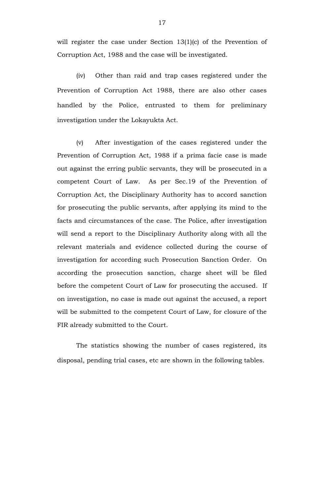will register the case under Section 13(1)(c) of the Prevention of Corruption Act, 1988 and the case will be investigated.

(iv) Other than raid and trap cases registered under the Prevention of Corruption Act 1988, there are also other cases handled by the Police, entrusted to them for preliminary investigation under the Lokayukta Act.

(v) After investigation of the cases registered under the Prevention of Corruption Act, 1988 if a prima facie case is made out against the erring public servants, they will be prosecuted in a competent Court of Law. As per Sec.19 of the Prevention of Corruption Act, the Disciplinary Authority has to accord sanction for prosecuting the public servants, after applying its mind to the facts and circumstances of the case. The Police, after investigation will send a report to the Disciplinary Authority along with all the relevant materials and evidence collected during the course of investigation for according such Prosecution Sanction Order. On according the prosecution sanction, charge sheet will be filed before the competent Court of Law for prosecuting the accused. If on investigation, no case is made out against the accused, a report will be submitted to the competent Court of Law, for closure of the FIR already submitted to the Court.

The statistics showing the number of cases registered, its disposal, pending trial cases, etc are shown in the following tables.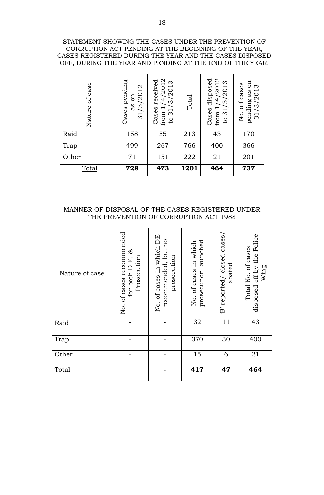#### STATEMENT SHOWING THE CASES UNDER THE PREVENTION OF CORRUPTION ACT PENDING AT THE BEGINNING OF THE YEAR, CASES REGISTERED DURING THE YEAR AND THE CASES DISPOSED OFF, DURING THE YEAR AND PENDING AT THE END OF THE YEAR.

| of case<br>Nature | pending<br>3/2012<br>$\sin$<br>as<br>Cases<br>$\overline{31}$ | 4/2012<br>received<br>/3/2013<br>Cases<br>to 31<br>from | Total | Cases disposed<br>4/2012<br>/2013<br>$\approx$<br>$\frac{1}{2}$<br>from | Eo<br>o f cases<br>Ω<br>31/3/201<br>as<br>pending<br>Χo. |
|-------------------|---------------------------------------------------------------|---------------------------------------------------------|-------|-------------------------------------------------------------------------|----------------------------------------------------------|
| Raid              | 158                                                           | 55                                                      | 213   | 43                                                                      | 170                                                      |
| Trap              | 499                                                           | 267                                                     | 766   | 400                                                                     | 366                                                      |
| Other             | 71                                                            | 151                                                     | 222   | 21                                                                      | 201                                                      |
| Total             | 728                                                           | 473                                                     | 1201  | 464                                                                     | 737                                                      |

### MANNER OF DISPOSAL OF THE CASES REGISTERED UNDER THE PREVENTION OF CORRUPTION ACT 1988

| Nature of case | No. of cases recommended<br>ಜೆ<br>Prosecution<br>for both D.E. | No. of cases in which DE<br>recommended, but no<br>prosecution | prosecution launched<br>No. of cases in which | 'B' reported/ closed cases/<br>abated | disposed off by the Police<br>Total No. of cases<br>Wing |
|----------------|----------------------------------------------------------------|----------------------------------------------------------------|-----------------------------------------------|---------------------------------------|----------------------------------------------------------|
| Raid           |                                                                |                                                                | 32                                            | 11                                    | 43                                                       |
| Trap           |                                                                |                                                                | 370                                           | 30                                    | 400                                                      |
| Other          |                                                                |                                                                | 15                                            | 6                                     | 21                                                       |
| Total          |                                                                |                                                                | 417                                           | 47                                    | 464                                                      |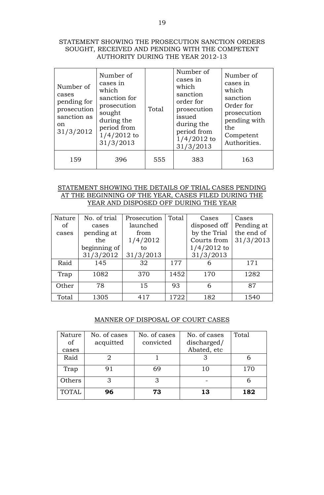#### STATEMENT SHOWING THE PROSECUTION SANCTION ORDERS SOUGHT, RECEIVED AND PENDING WITH THE COMPETENT AUTHORITY DURING THE YEAR 2012-13

| Number of<br>cases<br>pending for<br>prosecution<br>sanction as<br>on<br>31/3/2012 | Number of<br>cases in<br>which<br>sanction for<br>prosecution<br>sought<br>during the<br>period from<br>$1/4/2012$ to<br>31/3/2013 | Total | Number of<br>cases in<br>which<br>sanction<br>order for<br>prosecution<br>issued<br>during the<br>period from<br>$1/4/2012$ to<br>31/3/2013 | Number of<br>cases in<br>which<br>sanction<br>Order for<br>prosecution<br>pending with<br>the<br>Competent<br>Authorities. |
|------------------------------------------------------------------------------------|------------------------------------------------------------------------------------------------------------------------------------|-------|---------------------------------------------------------------------------------------------------------------------------------------------|----------------------------------------------------------------------------------------------------------------------------|
| 159                                                                                | 396                                                                                                                                | 555   | 383                                                                                                                                         | 163                                                                                                                        |

#### STATEMENT SHOWING THE DETAILS OF TRIAL CASES PENDING AT THE BEGINNING OF THE YEAR, CASES FILED DURING THE YEAR AND DISPOSED OFF DURING THE YEAR

| Nature | No. of trial | Prosecution | Total | Cases         | Cases      |
|--------|--------------|-------------|-------|---------------|------------|
| of     | cases        | launched    |       | disposed off  | Pending at |
| cases  | pending at   | from        |       | by the Trial  | the end of |
|        | the          | 1/4/2012    |       | Courts from   | 31/3/2013  |
|        | beginning of | to          |       | $1/4/2012$ to |            |
|        | 31/3/2012    | 31/3/2013   |       | 31/3/2013     |            |
| Raid   | 145          | 32          | 177   |               | 171        |
| Trap   | 1082         | 370         | 1452  | 170           | 1282       |
| Other  | 78           | 15          | 93    |               | 87         |
| Total  | 1305         | 417         | 1722  | 182           | 1540       |

#### MANNER OF DISPOSAL OF COURT CASES

| Nature       | No. of cases | No. of cases | No. of cases | Total |
|--------------|--------------|--------------|--------------|-------|
| of           | acquitted    | convicted    | discharged/  |       |
| cases        |              |              | Abated, etc  |       |
| Raid         |              |              |              |       |
| Trap         | 91           | 69           | 10           | 170   |
| Others       | 3            |              |              |       |
| <b>TOTAL</b> | 96           | 73           | 13           | 182   |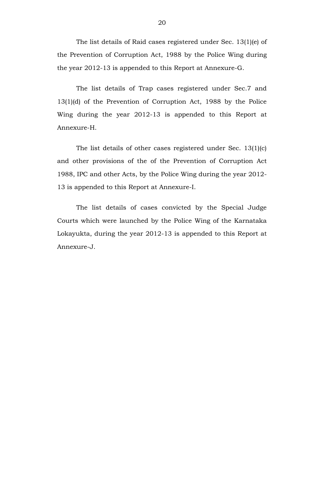The list details of Raid cases registered under Sec. 13(1)(e) of the Prevention of Corruption Act, 1988 by the Police Wing during the year 2012-13 is appended to this Report at Annexure-G.

The list details of Trap cases registered under Sec.7 and 13(1)(d) of the Prevention of Corruption Act, 1988 by the Police Wing during the year 2012-13 is appended to this Report at Annexure-H.

The list details of other cases registered under Sec. 13(1)(c) and other provisions of the of the Prevention of Corruption Act 1988, IPC and other Acts, by the Police Wing during the year 2012- 13 is appended to this Report at Annexure-I.

The list details of cases convicted by the Special Judge Courts which were launched by the Police Wing of the Karnataka Lokayukta, during the year 2012-13 is appended to this Report at Annexure-J.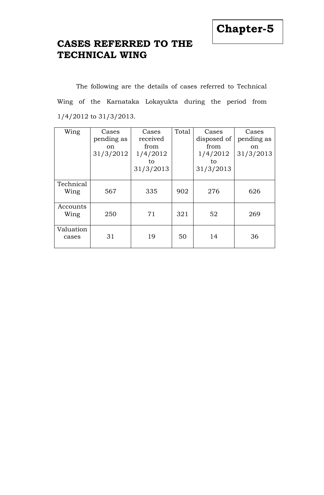# **CASES REFERRED TO THE TECHNICAL WING**

The following are the details of cases referred to Technical Wing of the Karnataka Lokayukta during the period from 1/4/2012 to 31/3/2013.

| Wing               | Cases<br>pending as<br><sub>on</sub><br>31/3/2012 | Cases<br>received<br>from<br>1/4/2012<br>to<br>31/3/2013 | Total | Cases<br>disposed of<br>from<br>1/4/2012<br>to<br>31/3/2013 | Cases<br>pending as<br>on<br>31/3/2013 |
|--------------------|---------------------------------------------------|----------------------------------------------------------|-------|-------------------------------------------------------------|----------------------------------------|
| Technical<br>Wing  | 567                                               | 335                                                      | 902   | 276                                                         | 626                                    |
| Accounts<br>Wing   | 250                                               | 71                                                       | 321   | 52                                                          | 269                                    |
| Valuation<br>cases | 31                                                | 19                                                       | 50    | 14                                                          | 36                                     |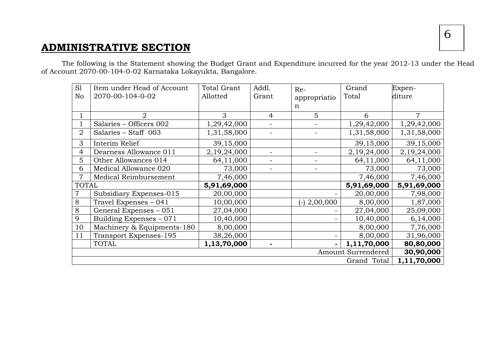# **ADMINISTRATIVE SECTION**

The following is the Statement showing the Budget Grant and Expenditure incurred for the year 2012-13 under the Head of Account 2070-00-104-0-02 Karnataka Lokayukta, Bangalore.

| S1<br>No       | Item under Head of Account<br>2070-00-104-0-02 | <b>Total Grant</b><br>Allotted | Addl.<br>Grant | Re-<br>appropriatio | Grand<br>Total     | Expen-<br>diture |
|----------------|------------------------------------------------|--------------------------------|----------------|---------------------|--------------------|------------------|
|                |                                                |                                |                | n                   |                    |                  |
|                | $\overline{2}$                                 | 3                              | 4              | $\overline{5}$      | 6                  | 7                |
|                | Salaries - Officers 002                        | 1,29,42,000                    |                |                     | 1,29,42,000        | 1,29,42,000      |
| $\overline{2}$ | Salaries - Staff 003                           | 1,31,58,000                    |                |                     | 1,31,58,000        | 1,31,58,000      |
| 3              | Interim Relief                                 | 39,15,000                      |                |                     | 39,15,000          | 39,15,000        |
| 4              | Dearness Allowance 011                         | 2,19,24,000                    |                |                     | 2,19,24,000        | 2,19,24,000      |
| 5              | Other Allowances 014                           | 64,11,000                      |                |                     | 64,11,000          | 64,11,000        |
| 6              | Medical Allowance 020                          | 73,000                         |                |                     | 73,000             | 73,000           |
|                | Medical Reimbursement                          | 7,46,000                       |                |                     | 7,46,000           | 7,46,000         |
| <b>TOTAL</b>   |                                                | 5,91,69,000                    |                |                     | 5,91,69,000        | 5,91,69,000      |
| 7              | Subsidiary Expenses-015                        | 20,00,000                      |                |                     | 20,00,000          | 7,98,000         |
| 8              | Travel Expenses - 041                          | 10,00,000                      |                | $(-)$ 2,00,000      | 8,00,000           | 1,87,000         |
| 8              | General Expenses - 051                         | 27,04,000                      |                |                     | 27,04,000          | 25,09,000        |
| 9              | Building Expenses - 071                        | 10,40,000                      |                |                     | 10,40,000          | 6,14,000         |
| 10             | Machinery & Equipments-180                     | 8,00,000                       |                |                     | 8,00,000           | 7,76,000         |
| 11             | Transport Expenses-195                         | 38,26,000                      |                |                     | 8,00,000           | 31,96,000        |
|                | <b>TOTAL</b>                                   | 1,13,70,000                    |                |                     | 1,11,70,000        | 80,80,000        |
|                |                                                |                                |                |                     | Amount Surrendered | 30,90,000        |
|                |                                                |                                |                |                     | Grand Total        | 1,11,70,000      |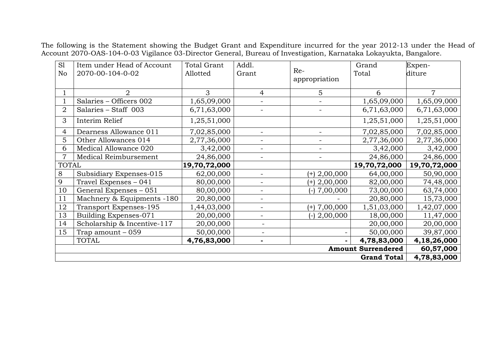The following is the Statement showing the Budget Grant and Expenditure incurred for the year 2012-13 under the Head of Account 2070-OAS-104-0-03 Vigilance 03-Director General, Bureau of Investigation, Karnataka Lokayukta, Bangalore.

|                |                             |                    |                          |                   | <b>Grand Total</b>        | 4,78,83,000    |
|----------------|-----------------------------|--------------------|--------------------------|-------------------|---------------------------|----------------|
|                |                             |                    |                          |                   | <b>Amount Surrendered</b> | 60,57,000      |
|                | <b>TOTAL</b>                | 4,76,83,000        | $\blacksquare$           |                   | 4,78,83,000               | 4,18,26,000    |
| 15             | Trap amount $-059$          | 50,00,000          | $\blacksquare$           |                   | 50,00,000                 | 39,87,000      |
| 14             | Scholarship & Incentive-117 | 20,00,000          | $\sim$                   |                   | 20,00,000                 | 20,00,000      |
| 13             | Building Expenses-071       | 20,00,000          | $\blacksquare$           | $(-)$ 2,00,000    | 18,00,000                 | 11,47,000      |
| 12             | Transport Expenses-195      | 1,44,03,000        | $\blacksquare$           | $(+)$ 7,00,000    | 1,51,03,000               | 1,42,07,000    |
| 11             | Machnery & Equipments -180  | 20,80,000          | $\blacksquare$           |                   | 20,80,000                 | 15,73,000      |
| 10             | General Expenses - 051      | 80,00,000          | $\overline{\phantom{a}}$ | 7,00,000<br>$(-)$ | 73,00,000                 | 63,74,000      |
| 9              | Travel Expenses - 041       | 80,00,000          |                          | $(+)$ 2,00,000    | 82,00,000                 | 74,48,000      |
| 8              | Subsidiary Expenses-015     | 62,00,000          |                          | $(+)$ 2,00,000    | 64,00,000                 | 50,90,000      |
| <b>TOTAL</b>   |                             | 19,70,72,000       |                          |                   | 19,70,72,000              | 19,70,72,000   |
| 7              | Medical Reimbursement       | 24,86,000          | $\overline{\phantom{a}}$ |                   | 24,86,000                 | 24,86,000      |
| 6              | Medical Allowance 020       | 3,42,000           | $\blacksquare$           | $\blacksquare$    | 3,42,000                  | 3,42,000       |
| 5              | Other Allowances 014        | 2,77,36,000        | $\blacksquare$           |                   | 2,77,36,000               | 2,77,36,000    |
| 4              | Dearness Allowance 011      | 7,02,85,000        | $\blacksquare$           | $\blacksquare$    | 7,02,85,000               | 7,02,85,000    |
| 3              | Interim Relief              | 1,25,51,000        |                          |                   | 1,25,51,000               | 1,25,51,000    |
| $\overline{2}$ | Salaries - Staff 003        | 6,71,63,000        |                          |                   | 6,71,63,000               | 6,71,63,000    |
|                | Salaries - Officers 002     | 1,65,09,000        | $\overline{\phantom{0}}$ |                   | 1,65,09,000               | 1,65,09,000    |
|                | $\overline{2}$              | 3                  | 4                        | 5                 | 6                         | $\overline{7}$ |
|                |                             |                    |                          | appropriation     |                           |                |
| No             | 2070-00-104-0-02            | Allotted           | Grant                    | Re-               | Total                     | diture         |
| S1             | Item under Head of Account  | <b>Total Grant</b> | Addl.                    |                   | Grand                     | Expen-         |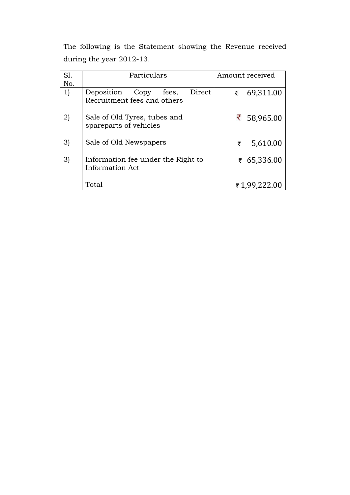The following is the Statement showing the Revenue received during the year 2012-13.

| SI.          | Particulars                                                       | Amount received |
|--------------|-------------------------------------------------------------------|-----------------|
| No.          |                                                                   |                 |
| 1)           | Direct<br>Deposition Copy<br>fees,<br>Recruitment fees and others | 69,311.00<br>₹  |
| $\mathbf{2}$ | Sale of Old Tyres, tubes and<br>spareparts of vehicles            | ₹ 58,965.00     |
| 3)           | Sale of Old Newspapers                                            | 5,610.00<br>₹   |
| 3)           | Information fee under the Right to<br><b>Information Act</b>      | ₹ 65,336.00     |
|              | Total                                                             | ₹1,99,222.00    |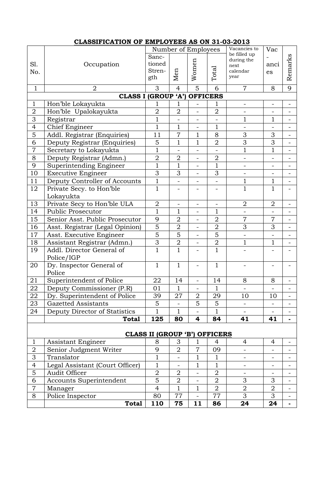|                 | CLASSIFICATION OF EMPLOTEES AS ON 31-03-2013 |                                      |                              |                              |                |                              |                          |                          |
|-----------------|----------------------------------------------|--------------------------------------|------------------------------|------------------------------|----------------|------------------------------|--------------------------|--------------------------|
|                 |                                              |                                      |                              | Number of Employees          |                | Vacancies to<br>be filled up | Vac                      |                          |
|                 |                                              | Sanc-                                |                              |                              |                | during the                   |                          | Remarks                  |
| Sl.             | Occupation                                   | tioned                               |                              |                              |                | next                         | anci                     |                          |
| No.             |                                              | Stren-                               | Men                          | Women                        | Total          | calendar<br>year             | <b>es</b>                |                          |
|                 |                                              | gth                                  |                              |                              |                |                              |                          |                          |
| $\mathbf{1}$    | $\overline{2}$                               | 3                                    | $\overline{4}$               | 5                            | 6              | $\overline{7}$               | 8                        | 9                        |
|                 | CLASS I (GROUP 'A')                          |                                      |                              | <b>OFFICERS</b>              |                |                              |                          |                          |
| $\mathbf{1}$    | Hon'ble Lokayukta                            | 1                                    | 1                            |                              | 1              |                              | -                        |                          |
| $\overline{2}$  | Hon'ble Upalokayukta                         | $\overline{2}$                       | $\overline{2}$               | $\overline{\phantom{0}}$     | $\overline{2}$ | $\qquad \qquad -$            |                          |                          |
| 3               | Registrar                                    | $\mathbf{1}$                         | $\qquad \qquad \blacksquare$ | $\qquad \qquad \blacksquare$ |                | $\mathbf{1}$                 | $\mathbf{1}$             | $\blacksquare$           |
| $\overline{4}$  | Chief Engineer                               | $\overline{1}$                       | $\mathbf{1}$                 | $\overline{a}$               | $\mathbf{1}$   |                              |                          |                          |
| 5               | Addl. Registrar (Enquiries)                  | 11                                   | $\overline{7}$               | $\mathbf{1}$                 | 8              | 3                            | 3                        | $\blacksquare$           |
| 6               | Deputy Registrar (Enquiries)                 | 5                                    | $\mathbf{1}$                 | $\mathbf{1}$                 | $\overline{2}$ | 3                            | 3                        |                          |
| $\overline{7}$  | Secretary to Lokayukta                       | $\mathbf{1}$                         | $\blacksquare$               | ÷                            | $\blacksquare$ | $\mathbf{1}$                 | $\mathbf{1}$             | 4                        |
| 8               | Deputy Registrar (Admn.)                     | $\overline{2}$                       | $\overline{2}$               | $\equiv$                     | $\overline{2}$ | $\overline{\phantom{0}}$     | -                        |                          |
| 9               | Superintending Engineer                      | $\overline{1}$                       | $\overline{1}$               | $\overline{a}$               | $\mathbf{1}$   | $\qquad \qquad -$            |                          |                          |
| 10              | <b>Executive Engineer</b>                    | 3                                    | 3                            | $\overline{\phantom{0}}$     | 3              |                              |                          |                          |
| 11              | Deputy Controller of Accounts                | $\mathbf 1$                          |                              | $\overline{\phantom{0}}$     |                | $\mathbf{1}$                 | $\mathbf{1}$             |                          |
| 12              | Private Secy. to Hon'ble                     | $\mathbf 1$                          | -                            | $\overline{\phantom{0}}$     |                | $\overline{1}$               | $\mathbf{1}$             |                          |
|                 | Lokayukta                                    |                                      |                              |                              |                |                              |                          |                          |
| 13              | Private Secy to Hon'ble ULA                  | $\overline{2}$                       |                              | -                            |                | $\overline{2}$               | $\overline{2}$           |                          |
| 14              | <b>Public Prosecutor</b>                     | $\overline{1}$                       | $\mathbf{1}$                 | $\overline{\phantom{0}}$     | $\mathbf{1}$   |                              |                          |                          |
| 15              | Senior Asst. Public Prosecutor               | 9                                    | $\overline{2}$               | L,                           | $\overline{2}$ | $\overline{7}$               | $\overline{7}$           | $\equiv$                 |
| 16              | Asst. Registrar (Legal Opinion)              | $\overline{5}$                       | $\overline{2}$               | $\blacksquare$               | $\overline{2}$ | 3                            | 3                        | $\blacksquare$           |
| 17              | Asst. Executive Engineer                     | $\overline{5}$                       | 5                            | $\overline{\phantom{0}}$     | 5              |                              |                          |                          |
| 18              | Assistant Registrar (Admn.)                  | $\overline{3}$                       | $\mathbf 2$                  | -                            | $\overline{2}$ | $\mathbf{1}$                 | $\mathbf{1}$             | $\blacksquare$           |
| 19              | Addl. Director General of                    | $\mathbf{1}$                         | $\mathbf{1}$                 | $\blacksquare$               | $\mathbf{1}$   |                              |                          |                          |
|                 | Police/IGP                                   |                                      |                              |                              |                |                              |                          |                          |
| 20              | Dy. Inspector General of                     | 1                                    | $\mathbf 1$                  | $\qquad \qquad \blacksquare$ | $\mathbf{1}$   |                              |                          |                          |
|                 | Police                                       |                                      |                              |                              |                |                              |                          |                          |
| $\overline{21}$ | Superintendent of Police                     | 22                                   | 14                           | $\qquad \qquad \blacksquare$ | 14             | 8                            | 8                        | $\qquad \qquad =$        |
| 22              | Deputy Commissioner (P.R)                    | 01                                   | $\mathbf{1}$                 |                              | $\mathbf{1}$   |                              |                          | $\overline{\phantom{0}}$ |
| 22              | Dy. Superintendent of Police                 | 39                                   | 27                           | $\overline{2}$               | 29             | 10                           | 10                       | Ξ.                       |
| 23              | Gazetted Assistants                          | 5                                    |                              | 5                            | 5              |                              |                          |                          |
| 24              | Deputy Director of Statistics                | $\mathbf 1$                          | $\mathbf{1}$                 |                              | $\mathbf 1$    |                              |                          |                          |
|                 | Total                                        | 125                                  | 80                           | 4                            | 84             | 41                           | 41                       | $\blacksquare$           |
|                 |                                              |                                      |                              |                              |                |                              |                          |                          |
|                 |                                              | <b>CLASS II (GROUP 'B') OFFICERS</b> |                              |                              |                |                              |                          |                          |
| $\mathbf{1}$    | Assistant Engineer                           | 8                                    | 3                            | 1                            | $\overline{4}$ | 4                            | 4                        |                          |
| $\sqrt{2}$      | Senior Judgment Writer                       | 9                                    | $\mathbf 2$                  | $\overline{7}$               | 09             | $\overline{\phantom{0}}$     |                          |                          |
| 3               | Translator                                   | $\mathbf 1$                          | $\qquad \qquad -$            | $\mathbf{1}$                 | $\mathbf{1}$   | -                            | $\overline{\phantom{0}}$ | $\overline{\phantom{0}}$ |
| $\overline{4}$  | Legal Assistant (Court Officer)              | $\mathbf{1}$                         |                              | $\mathbf{1}$                 | $\mathbf{1}$   | $\overline{\phantom{a}}$     | $\overline{\phantom{0}}$ | $\overline{\phantom{0}}$ |
| $\mathbf 5$     | Audit Officer                                | $\overline{2}$                       | 2                            |                              | $\overline{2}$ |                              |                          | Ξ.                       |
| 6               | Accounts Superintendent                      | 5                                    | $\overline{2}$               |                              | $\overline{2}$ | 3                            | 3                        |                          |
| $\overline{7}$  | Manager                                      | $\overline{4}$                       | $\mathbf 1$                  | $\mathbf{1}$                 | $\overline{2}$ | $\overline{2}$               | $\overline{2}$           | Ξ.                       |
| 8               | Police Inspector                             | 80                                   | 77                           | L,                           | 77             | 3                            | 3                        | $\equiv$                 |
|                 | <b>Total</b>                                 | 110                                  | 75                           | 11                           | 86             | 24                           | 24                       |                          |

## **CLASSIFICATION OF EMPLOYEES AS ON 31-03-2013**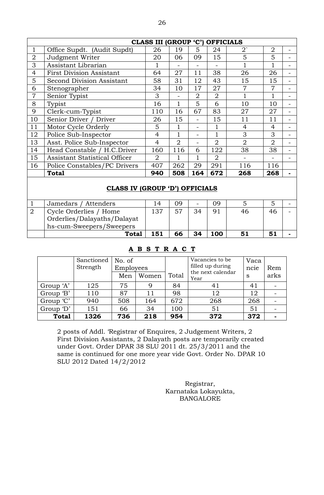|                |                                      | CLASS III (GROUP 'C') |                |                | <b>OFFICIALS</b> |                |                |  |
|----------------|--------------------------------------|-----------------------|----------------|----------------|------------------|----------------|----------------|--|
| 1              | Office Supdt. (Audit Supdt)          | 26                    | 19             | 5              | 24               | $2^{\cdot}$    | $\overline{2}$ |  |
| $\overline{2}$ | Judgment Writer                      | 20                    | 06             | 09             | 15               | 5              | 5              |  |
| 3              | Assistant Librarian                  |                       |                |                |                  |                | 1              |  |
| $\overline{4}$ | <b>First Division Assistant</b>      | 64                    | 27             | 11             | 38               | 26             | 26             |  |
| 5              | Second Division Assistant            | 58                    | 31             | 12             | 43               | 15             | 15             |  |
| 6              | Stenographer                         | 34                    | 10             | 17             | 27               | 7              | 7              |  |
| 7              | Senior Typist                        | 3                     |                | $\overline{2}$ | $\overline{2}$   |                |                |  |
| 8              | Typist                               | 16                    |                | 5              | 6                | 10             | 10             |  |
| 9              | Clerk-cum-Typist                     | 110                   | 16             | 67             | 83               | 27             | 27             |  |
| 10             | Senior Driver / Driver               | 26                    | 15             |                | 15               | 11             | 11             |  |
| 11             | Motor Cycle Orderly                  | 5                     |                | -              | 1                | $\overline{4}$ | 4              |  |
| 12             | Police Sub-Inspector                 | 4                     | $\mathbf{1}$   | -              | $\mathbf{1}$     | 3              | 3              |  |
| 13             | Asst. Police Sub-Inspector           | 4                     | $\overline{2}$ | -              | $\overline{2}$   | $\overline{2}$ | $\overline{2}$ |  |
| 14             | Head Constable / H.C.Driver          | 160                   | 116            | 6              | 122              | 38             | 38             |  |
| 15             | <b>Assistant Statistical Officer</b> | $\overline{2}$        |                |                | $\overline{2}$   |                |                |  |
| 16             | Police Constables/PC Drivers         | 407                   | 262            | 29             | 291              | 116            | 116            |  |
|                | <b>Total</b>                         | 940                   | 508            | 164            | 672              | 268            | 268            |  |
|                |                                      |                       |                |                |                  |                |                |  |

### **CLASS IV (GROUP 'D') OFFICIALS**

| Jamedars / Attenders        | 4   | 09 | $\overline{\phantom{a}}$ | ΩÓ  |    |    |  |
|-----------------------------|-----|----|--------------------------|-----|----|----|--|
| Cycle Orderlies / Home      | 137 | 57 |                          | Q.  | 46 | 46 |  |
| Orderlies/Dalayaths/Dalayat |     |    |                          |     |    |    |  |
| hs-cum-Sweepers/Sweepers    |     |    |                          |     |    |    |  |
| <b>Total</b>                | 151 | 66 | 34                       | 100 |    |    |  |

### **A B S T R A C T**

|              | Sanctioned<br>Strength | No. of<br>Employees |       |       | Vacancies to be<br>filled up during | Vaca<br>ncie | Rem  |
|--------------|------------------------|---------------------|-------|-------|-------------------------------------|--------------|------|
|              |                        | Men                 | Women | Total | the next calendar<br>Year           | S            | arks |
| Group 'A'    | 125                    | 75                  | 9     | 84    | 41                                  | 41           |      |
| Group 'B'    | 110                    | 87                  | 11    | 98    | 12                                  | 12           |      |
| Group 'C'    | 940                    | 508                 | 164   | 672   | 268                                 | 268          |      |
| Group 'D'    | 151                    | 66                  | 34    | 100   | 51                                  | 51           |      |
| <b>Total</b> | 1326                   | 736                 | 218   | 954   | 372                                 | 372          |      |

2 posts of Addl. 'Registrar of Enquires, 2 Judgement Writers, 2 First Division Assistants, 2 Dalayath posts are temporarily created under Govt. Order DPAR 38 SLU 2011 dt. 25/3/2011 and the same is continued for one more year vide Govt. Order No. DPAR 10 SLU 2012 Dated 14/2/2012

> Registrar, Karnataka Lokayukta, BANGALORE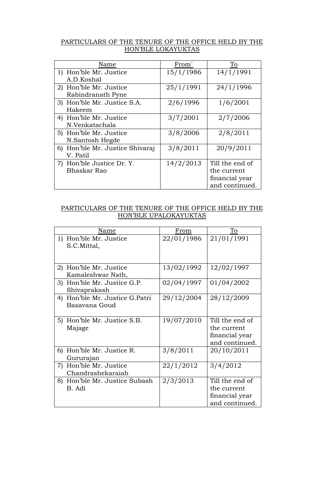## PARTICULARS OF THE TENURE OF THE OFFICE HELD BY THE HON'BLE LOKAYUKTAS

| Name                            | From <sup>-</sup> | To              |
|---------------------------------|-------------------|-----------------|
| 1) Hon'ble Mr. Justice          | 15/1/1986         | 14/1/1991       |
| A.D.Koshal                      |                   |                 |
| 2) Hon'ble Mr. Justice          | 25/1/1991         | 24/1/1996       |
| Rabindranath Pyne               |                   |                 |
| 3) Hon'ble Mr. Justice S.A.     | 2/6/1996          | 1/6/2001        |
| Hakeem                          |                   |                 |
| 4) Hon'ble Mr. Justice          | 3/7/2001          | 2/7/2006        |
| N.Venkatachala                  |                   |                 |
| 5) Hon'ble Mr. Justice          | 3/8/2006          | 2/8/2011        |
| N.Santosh Hegde                 |                   |                 |
| 6) Hon'ble Mr. Justice Shivaraj | 3/8/2011          | 20/9/2011       |
| V. Patil                        |                   |                 |
| 7) Hon'ble Justice Dr. Y.       | 14/2/2013         | Till the end of |
| Bhaskar Rao                     |                   | the current     |
|                                 |                   | financial year  |
|                                 |                   | and continued.  |

### PARTICULARS OF THE TENURE OF THE OFFICE HELD BY THE HON'BLE UPALOKAYUKTAS

| Name                                               | From       | To                                                                 |
|----------------------------------------------------|------------|--------------------------------------------------------------------|
| 1) Hon'ble Mr. Justice<br>S.C.Mittal,              | 22/01/1986 | 21/01/1991                                                         |
| Hon'ble Mr. Justice<br>2)<br>Kamaleshwar Nath,     | 13/02/1992 | 12/02/1997                                                         |
| Hon'ble Mr. Justice G.P.<br>3)<br>Shivaprakash     | 02/04/1997 | 01/04/2002                                                         |
| Hon'ble Mr. Justice G.Patri<br>4)<br>Basavana Goud | 29/12/2004 | 28/12/2009                                                         |
| 5) Hon'ble Mr. Justice S.B.<br>Majage              | 19/07/2010 | Till the end of<br>the current<br>financial year<br>and continued. |
| 6) Hon'ble Mr. Justice R.<br>Gururajan             | 3/8/2011   | 20/10/2011                                                         |
| 7) Hon'ble Mr. Justice<br>Chandrashekaraiah        | 22/1/2012  | 3/4/2012                                                           |
| 8) Hon'ble Mr. Justice Subash<br>B. Adi            | 2/3/2013   | Till the end of<br>the current<br>financial year<br>and continued. |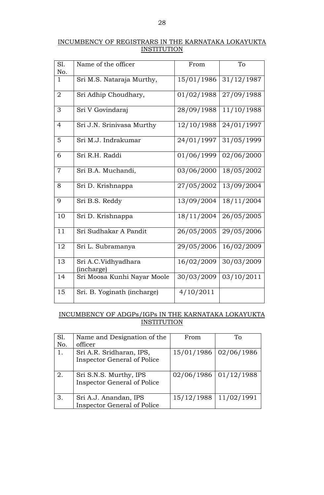## INCUMBENCY OF REGISTRARS IN THE KARNATAKA LOKAYUKTA **INSTITUTION**

| SI.<br>No.     | Name of the officer               | From                  | To         |
|----------------|-----------------------------------|-----------------------|------------|
| $\mathbf{1}$   | Sri M.S. Nataraja Murthy,         | 15/01/1986            | 31/12/1987 |
| $\overline{2}$ | Sri Adhip Choudhary,              | $\frac{01}{02}$ /1988 | 27/09/1988 |
| 3              | Sri V Govindaraj                  | 28/09/1988            | 11/10/1988 |
| 4              | Sri J.N. Srinivasa Murthy         | 12/10/1988            | 24/01/1997 |
| 5              | Sri M.J. Indrakumar               | 24/01/1997            | 31/05/1999 |
| 6              | Sri R.H. Raddi                    | 01/06/1999            | 02/06/2000 |
| $\overline{7}$ | Sri B.A. Muchandi,                | 03/06/2000            | 18/05/2002 |
| 8              | Sri D. Krishnappa                 | 27/05/2002            | 13/09/2004 |
| 9              | Sri B.S. Reddy                    | 13/09/2004            | 18/11/2004 |
| 10             | Sri D. Krishnappa                 | 18/11/2004            | 26/05/2005 |
| 11             | Sri Sudhakar A Pandit             | 26/05/2005            | 29/05/2006 |
| 12             | Sri L. Subramanya                 | 29/05/2006            | 16/02/2009 |
| 13             | Sri A.C.Vidhyadhara<br>(incharge) | 16/02/2009            | 30/03/2009 |
| 14             | Sri Moosa Kunhi Nayar Moole       | 30/03/2009            | 03/10/2011 |
| 15             | Sri. B. Yoginath (incharge)       | 4/10/2011             |            |

### INCUMBENCY OF ADGPs/IGPs IN THE KARNATAKA LOKAYUKTA **INSTITUTION**

| S1. | Name and Designation of the        | From                      | Tο                      |
|-----|------------------------------------|---------------------------|-------------------------|
| No. | officer                            |                           |                         |
| 1.  | Sri A.R. Sridharan, IPS,           |                           | 15/01/1986   02/06/1986 |
|     | <b>Inspector General of Police</b> |                           |                         |
|     |                                    |                           |                         |
| 2.  | Sri S.N.S. Murthy, IPS             | $02/06/1986$   01/12/1988 |                         |
|     | <b>Inspector General of Police</b> |                           |                         |
|     |                                    |                           |                         |
| 3.  | Sri A.J. Anandan, IPS              | 15/12/1988                | 11/02/1991              |
|     | <b>Inspector General of Police</b> |                           |                         |